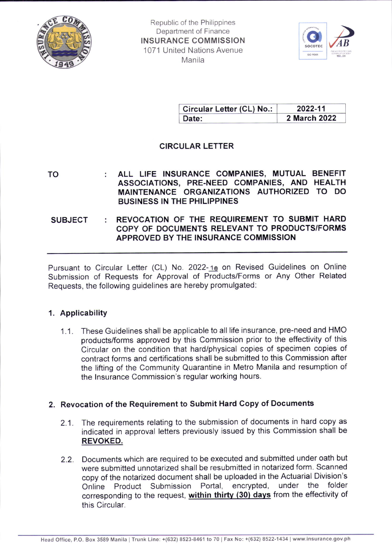

Republic of the Philippines Department of Finance INSURANCE COMMISSION 1071 United Nations Avenue **Manila** 



| Circular Letter (CL) No.: | 2022-11      |
|---------------------------|--------------|
| Date:                     | 2 March 2022 |

# CIRCULAR LETTER

TO ALL LIFE INSURANCE COMPANIES, MUTUAL BENEFIT ASSOCIATIONS, PRE-NEED COMPANIES, AND HEALTH MAINTENANGE ORGANIZATIONS AUTHORIZED TO DO BUSINESS IN THE PHILIPPINES

### SUBJECT : REVOCATION OF THE REQUIREMENT TO SUBMIT HARD COPY OF DOCUMENTS RELEVANT TO PRODUCTS/FORMS APPROVED BY THE INSURANCE COMMISSION

Pursuant to Circular Letter (CL) No. 2022-10 on Revised Guidelines on Online Submission of Requests for Approval of Products/Forms or Any Other Related Requests, the following guidelines are hereby promulgated:

## 1. Applicability

1.1. These Guidelines shall be applicable to all life insurance, pre-need and HMO products/forms approved by this Commission prior to the effectivity of this Circular on the condition that hard/physical copies of specimen copies of contract forms and certifications shall be submitted to this Commission after the lifting of the Community Quarantine in Metro Manila and resumption of the lnsurance Commission's regular working hours.

## 2. Revocation of the Requirement to Submit Hard Copy of Documents

- 2.1. The requirements relating to the submission of documents in hard copy as indicated in approval letters previously issued by this Commission shall be REVOKED.
- 2.2. Documents which are required to be executed and submitted under oath but were submitted unnotarized shall be resubmitted in notarized form. Scanned copy of the notarized document shall be uploaded in the Actuarial Division's Product Submission Portal, encrypted, under the folder corresponding to the request, within thirty (30) days from the effectivity of this Circular.